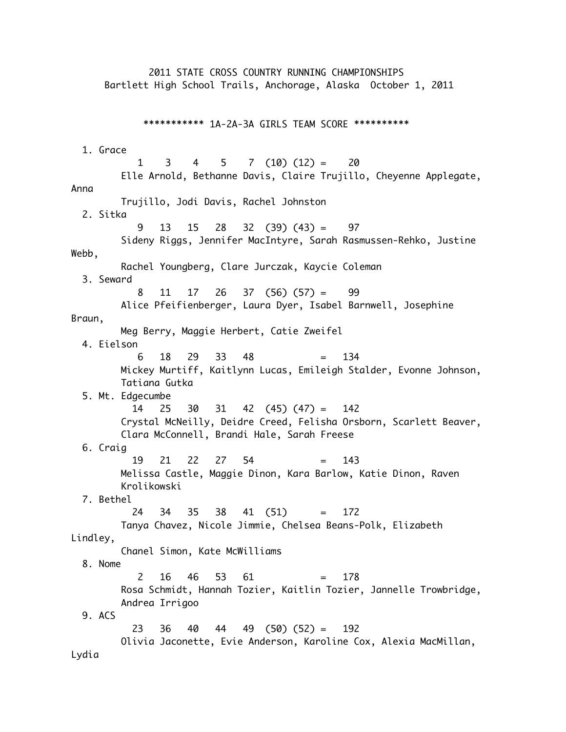2011 STATE CROSS COUNTRY RUNNING CHAMPIONSHIPS Bartlett High School Trails, Anchorage, Alaska October 1, 2011 \*\*\*\*\*\*\*\*\*\*\* 1A-2A-3A GIRLS TEAM SCORE \*\*\*\*\*\*\*\*\*\* 1. Grace  $1 \quad 3 \quad 4 \quad 5 \quad 7 \quad (10) \quad (12) = \quad 20$  Elle Arnold, Bethanne Davis, Claire Trujillo, Cheyenne Applegate, Anna Trujillo, Jodi Davis, Rachel Johnston 2. Sitka 9 13 15 28 32 (39) (43) = 97 Sideny Riggs, Jennifer MacIntyre, Sarah Rasmussen-Rehko, Justine Webb, Rachel Youngberg, Clare Jurczak, Kaycie Coleman 3. Seward 8 11 17 26 37 (56) (57) = 99 Alice Pfeifienberger, Laura Dyer, Isabel Barnwell, Josephine Braun, Meg Berry, Maggie Herbert, Catie Zweifel 4. Eielson 6 18 29 33 48 = 134 Mickey Murtiff, Kaitlynn Lucas, Emileigh Stalder, Evonne Johnson, Tatiana Gutka 5. Mt. Edgecumbe 14 25 30 31 42 (45) (47) = 142 Crystal McNeilly, Deidre Creed, Felisha Orsborn, Scarlett Beaver, Clara McConnell, Brandi Hale, Sarah Freese 6. Craig 19 21 22 27 54 = 143 Melissa Castle, Maggie Dinon, Kara Barlow, Katie Dinon, Raven Krolikowski 7. Bethel 24 34 35 38 41 (51) = 172 Tanya Chavez, Nicole Jimmie, Chelsea Beans-Polk, Elizabeth Lindley, Chanel Simon, Kate McWilliams 8. Nome 2 16 46 53 61 = 178 Rosa Schmidt, Hannah Tozier, Kaitlin Tozier, Jannelle Trowbridge, Andrea Irrigoo 9. ACS 23 36 40 44 49 (50) (52) = 192 Olivia Jaconette, Evie Anderson, Karoline Cox, Alexia MacMillan, Lydia